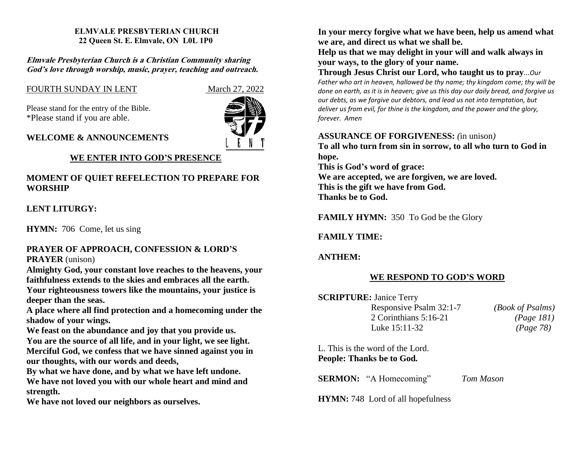#### **ELMVALE PRESBYTERIAN CHURCH 22 Queen St. E. Elmvale, ON L0L 1P0**

**Elmvale Presbyterian Church is <sup>a</sup> Christian Community sharing God'<sup>s</sup> love through worship, music, prayer, teaching and outreach.**

## FOURTH SUNDAY IN LENT March 27, 2022

Please stand for the entry of the Bible. \*Please stand if you are able.



### **WELCOME & ANNOUNCEMENTS**

## **WE ENTER INTO GOD'S PRESENCE**

## **MOMENT OF QUIET REFELECTION TO PREPARE FOR WORSHIP**

## **LENT LITURGY:**

**HYMN:** 706 Come, let us sing

### **PRAYER OF APPROACH, CONFESSION & LORD'S PRAYER** (unison)

**Almighty God, your constant love reaches to the heavens, your faithfulness extends to the skies and embraces all the earth.**

**Your righteousness towers like the mountains, your justice is deeper than the seas.**

**A place where all find protection and a homecoming under the shadow of your wings.**

**We feast on the abundance and joy that you provide us.**

**You are the source of all life, and in your light, we see light. Merciful God, we confess that we have sinned against you in our thoughts, with our words and deeds,**

**By what we have done, and by what we have left undone.**

**We have not loved you with our whole heart and mind and strength.**

**We have not loved our neighbors as ourselves.**

**In your mercy forgive what we have been, help us amend what we are, and direct us what we shall be.**

**Help us that we may delight in your will and walk always in your ways, to the glory of your name.**

**Through Jesus Christ our Lord, who taught us to pray**...*Our Father who art in heaven, hallowed be thy name; thy kingdom come; thy will be done on earth, as it is in heaven; give us this day our daily bread, and forgive us our debts, as we forgive our debtors, and lead us not into temptation, but deliver us from evil, for thine is the kingdom, and the power and the glory, forever. Amen*

### **ASSURANCE OF FORGIVENESS:** *(*in unison*)*

**To all who turn from sin in sorrow, to all who turn to God in hope.**

**This is God's word of grace:**

**We are accepted, we are forgiven, we are loved. This is the gift we have from God. Thanks be to God.**

**FAMILY HYMN:** 350 To God be the Glory

## **FAMILY TIME:**

# **ANTHEM:**

## **WE RESPOND TO GOD'S WORD**

| <b>SCRIPTURE: Janice Terry</b> |                         |
|--------------------------------|-------------------------|
| Responsive Psalm 32:1-7        | <i>(Book of Psalms)</i> |
| 2 Corinthians $5:16-21$        | (Page 181)              |
| Luke 15:11-32                  | (Page 78)               |

L. This is the word of the Lord. **People: Thanks be to God***.* 

**SERMON:** "A Homecoming" *Tom Mason*

**HYMN:** 748 Lord of all hopefulness